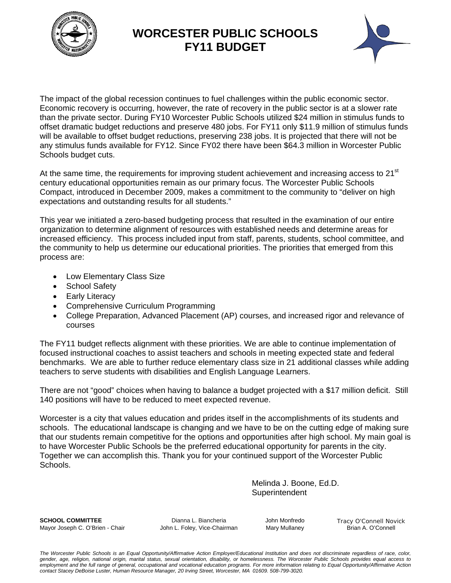

### **WORCESTER PUBLIC SCHOOLS FY11 BUDGET**



The impact of the global recession continues to fuel challenges within the public economic sector. Economic recovery is occurring, however, the rate of recovery in the public sector is at a slower rate than the private sector. During FY10 Worcester Public Schools utilized \$24 million in stimulus funds to offset dramatic budget reductions and preserve 480 jobs. For FY11 only \$11.9 million of stimulus funds will be available to offset budget reductions, preserving 238 jobs. It is projected that there will not be any stimulus funds available for FY12. Since FY02 there have been \$64.3 million in Worcester Public Schools budget cuts.

At the same time, the requirements for improving student achievement and increasing access to  $21<sup>st</sup>$ century educational opportunities remain as our primary focus. The Worcester Public Schools Compact, introduced in December 2009, makes a commitment to the community to "deliver on high expectations and outstanding results for all students."

This year we initiated a zero-based budgeting process that resulted in the examination of our entire organization to determine alignment of resources with established needs and determine areas for increased efficiency. This process included input from staff, parents, students, school committee, and the community to help us determine our educational priorities. The priorities that emerged from this process are:

- Low Elementary Class Size
- School Safety
- Early Literacy
- Comprehensive Curriculum Programming
- College Preparation, Advanced Placement (AP) courses, and increased rigor and relevance of courses

The FY11 budget reflects alignment with these priorities. We are able to continue implementation of focused instructional coaches to assist teachers and schools in meeting expected state and federal benchmarks. We are able to further reduce elementary class size in 21 additional classes while adding teachers to serve students with disabilities and English Language Learners.

There are not "good" choices when having to balance a budget projected with a \$17 million deficit. Still 140 positions will have to be reduced to meet expected revenue.

Worcester is a city that values education and prides itself in the accomplishments of its students and schools. The educational landscape is changing and we have to be on the cutting edge of making sure that our students remain competitive for the options and opportunities after high school. My main goal is to have Worcester Public Schools be the preferred educational opportunity for parents in the city. Together we can accomplish this. Thank you for your continued support of the Worcester Public Schools.

> Melinda J. Boone, Ed.D. **Superintendent**

**SCHOOL COMMITTEE Dianna L. Biancheria** John Monfredo Tracy O'Connell Novick Mayor Joseph C. O'Brien - Chair **John L. Foley, Vice-Chairman** Mary Mullaney Brian A. O'Connell

*The Worcester Public Schools is an Equal Opportunity/Affirmative Action Employer/Educational Institution and does not discriminate regardless of race, color, gender, age, religion, national origin, marital status, sexual orientation, disability, or homelessness. The Worcester Public Schools provides equal access to*  employment and the full range of general, occupational and vocational education programs. For more information relating to Equal Opportunity/Affirmative Action *contact Stacey DeBoise Luster, Human Resource Manager, 20 Irving Street, Worcester, MA 01609. 508-799-3020.*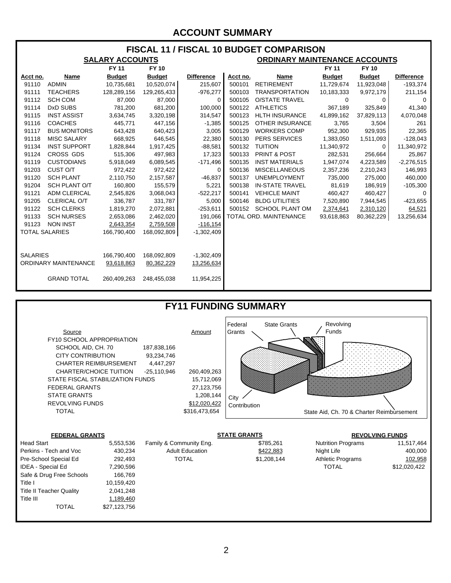#### **ACCOUNT SUMMARY**

| <b>FISCAL 11 / FISCAL 10 BUDGET COMPARISON</b> |                      |               |               |                   |          |                                      |               |               |                   |  |  |  |
|------------------------------------------------|----------------------|---------------|---------------|-------------------|----------|--------------------------------------|---------------|---------------|-------------------|--|--|--|
| <b>SALARY ACCOUNTS</b>                         |                      |               |               |                   |          | <b>ORDINARY MAINTENANCE ACCOUNTS</b> |               |               |                   |  |  |  |
|                                                |                      | <b>FY 11</b>  | <b>FY10</b>   |                   |          |                                      | <b>FY 11</b>  | <b>FY 10</b>  |                   |  |  |  |
| Acct no.                                       | Name                 | <b>Budget</b> | <b>Budget</b> | <b>Difference</b> | Acct no. | <b>Name</b>                          | <b>Budget</b> | <b>Budget</b> | <b>Difference</b> |  |  |  |
| 91110                                          | <b>ADMIN</b>         | 10,735,681    | 10,520,074    | 215,607           | 500101   | <b>RETIREMENT</b>                    | 11,729,674    | 11,923,048    | $-193,374$        |  |  |  |
| 91111                                          | <b>TEACHERS</b>      | 128,289,156   | 129,265,433   | $-976,277$        | 500103   | <b>TRANSPORTATION</b>                | 10,183,333    | 9,972,179     | 211,154           |  |  |  |
| 91112                                          | <b>SCH COM</b>       | 87,000        | 87,000        | 0                 | 500105   | <b>O/STATE TRAVEL</b>                | $\Omega$      | $\Omega$      | $\Omega$          |  |  |  |
| 91114                                          | DxD SUBS             | 781,200       | 681,200       | 100,000           | 500122   | <b>ATHLETICS</b>                     | 367,189       | 325,849       | 41,340            |  |  |  |
| 91115                                          | <b>INST ASSIST</b>   | 3,634,745     | 3,320,198     | 314,547           | 500123   | <b>HLTH INSURANCE</b>                | 41,899,162    | 37,829,113    | 4,070,048         |  |  |  |
| 91116                                          | <b>COACHES</b>       | 445,771       | 447,156       | $-1,385$          | 500125   | <b>OTHER INSURANCE</b>               | 3,765         | 3,504         | 261               |  |  |  |
| 91117                                          | <b>BUS MONITORS</b>  | 643,428       | 640,423       | 3,005             | 500129   | <b>WORKERS COMP</b>                  | 952,300       | 929,935       | 22,365            |  |  |  |
| 91118                                          | <b>MISC SALARY</b>   | 668,925       | 646,545       | 22,380            | 500130   | <b>PERS SERVICES</b>                 | 1,383,050     | 1,511,093     | $-128,043$        |  |  |  |
| 91134                                          | <b>INST SUPPORT</b>  | 1,828,844     | 1,917,425     | $-88,581$         | 500132   | <b>TUITION</b>                       | 11,340,972    | $\Omega$      | 11,340,972        |  |  |  |
| 91124                                          | CROSS GDS            | 515,306       | 497,983       | 17,323            | 500133   | <b>PRINT &amp; POST</b>              | 282,531       | 256,664       | 25,867            |  |  |  |
| 91119                                          | <b>CUSTODIANS</b>    | 5,918,049     | 6,089,545     | $-171,496$        | 500135   | <b>INST MATERIALS</b>                | 1,947,074     | 4,223,589     | $-2,276,515$      |  |  |  |
| 91203                                          | CUST O/T             | 972,422       | 972,422       | 0                 | 500136   | <b>MISCELLANEOUS</b>                 | 2,357,236     | 2,210,243     | 146,993           |  |  |  |
| 91120                                          | <b>SCH PLANT</b>     | 2,110,750     | 2,157,587     | $-46,837$         | 500137   | <b>UNEMPLOYMENT</b>                  | 735,000       | 275,000       | 460,000           |  |  |  |
| 91204                                          | <b>SCH PLANT O/T</b> | 160,800       | 155,579       | 5,221             | 500138   | <b>IN-STATE TRAVEL</b>               | 81,619        | 186,919       | $-105,300$        |  |  |  |
| 91121                                          | <b>ADM CLERICAL</b>  | 2,545,826     | 3,068,043     | $-522,217$        | 500141   | <b>VEHICLE MAINT</b>                 | 460,427       | 460,427       | 0                 |  |  |  |
| 91205                                          | CLERICAL O/T         | 336,787       | 331,787       | 5,000             | 500146   | <b>BLDG UTILITIES</b>                | 7,520,890     | 7,944,545     | $-423,655$        |  |  |  |
| 91122                                          | <b>SCH CLERKS</b>    | 1,819,270     | 2,072,881     | $-253,611$        | 500152   | <b>SCHOOL PLANT OM</b>               | 2,374,641     | 2,310,120     | 64,521            |  |  |  |
| 91133                                          | <b>SCH NURSES</b>    | 2,653,086     | 2,462,020     | 191,066           |          | TOTAL ORD. MAINTENANCE               | 93,618,863    | 80,362,229    | 13,256,634        |  |  |  |
| 91123                                          | <b>NON INST</b>      | 2,643,354     | 2,759,508     | $-116,154$        |          |                                      |               |               |                   |  |  |  |
| <b>TOTAL SALARIES</b>                          |                      | 166,790,400   | 168,092,809   | $-1,302,409$      |          |                                      |               |               |                   |  |  |  |
|                                                |                      |               |               |                   |          |                                      |               |               |                   |  |  |  |
|                                                |                      |               |               |                   |          |                                      |               |               |                   |  |  |  |
| <b>SALARIES</b>                                |                      | 166,790,400   | 168,092,809   | $-1,302,409$      |          |                                      |               |               |                   |  |  |  |
| <b>ORDINARY MAINTENANCE</b>                    |                      | 93,618,863    | 80,362,229    | 13,256,634        |          |                                      |               |               |                   |  |  |  |
|                                                |                      |               |               |                   |          |                                      |               |               |                   |  |  |  |
|                                                | <b>GRAND TOTAL</b>   | 260,409,263   | 248,455,038   | 11,954,225        |          |                                      |               |               |                   |  |  |  |
|                                                |                      |               |               |                   |          |                                      |               |               |                   |  |  |  |





Title III 1,189,460

TOTAL \$27,123,756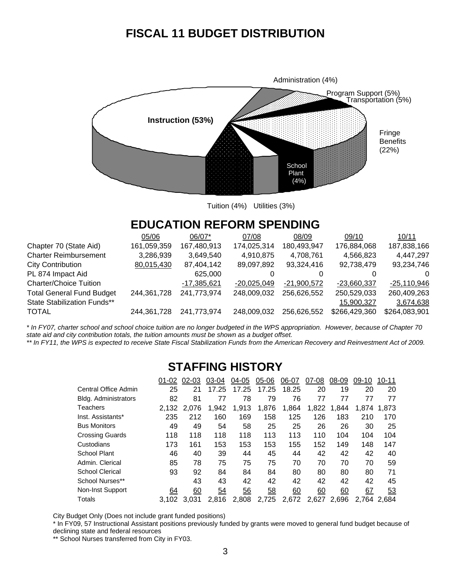## **FISCAL 11 BUDGET DISTRIBUTION**



Tuition (4%) Utilities (3%)

### **EDUCATION REFORM SPENDING**

|                                  | 05/06       | 06/07*        | 07/08         | 08/09         | 09/10         | 10/11         |
|----------------------------------|-------------|---------------|---------------|---------------|---------------|---------------|
| Chapter 70 (State Aid)           | 161,059,359 | 167,480,913   | 174,025,314   | 180,493,947   | 176,884,068   | 187,838,166   |
| <b>Charter Reimbursement</b>     | 3,286,939   | 3,649,540     | 4,910,875     | 4,708,761     | 4,566,823     | 4,447,297     |
| City Contribution                | 80,015,430  | 87,404,142    | 89,097,892    | 93,324,416    | 92,738,479    | 93,234,746    |
| PL 874 Impact Aid                |             | 625,000       |               |               | 0             | $\Omega$      |
| <b>Charter/Choice Tuition</b>    |             | $-17,385,621$ | $-20,025,049$ | $-21,900,572$ | $-23,660,337$ | $-25,110,946$ |
| <b>Total General Fund Budget</b> | 244,361,728 | 241,773,974   | 248,009,032   | 256,626,552   | 250,529,033   | 260,409,263   |
| State Stabilization Funds**      |             |               |               |               | 15,900,327    | 3,674,638     |
| TOTAL                            | 244,361,728 | 241,773,974   | 248,009,032   | 256,626,552   | \$266,429,360 | \$264,083,901 |
|                                  |             |               |               |               |               |               |

*\* In FY07, charter school and school choice tuition are no longer budgeted in the WPS appropriation. However, because of Chapter 70 state aid and city contribution totals, the tuition amounts must be shown as a budget offset.* 

\*\* In FY11, the WPS is expected to receive State Fiscal Stabilization Funds from the American Recovery and Reinvestment Act of 2009.

### **STAFFING HISTORY**

|                      | 01-02 | $02 - 03$ | 03-04 | 04-05 | $05-06$ | 06-07 | 07-08 | 08-09 | 09-10 | $10 - 11$ |
|----------------------|-------|-----------|-------|-------|---------|-------|-------|-------|-------|-----------|
| Central Office Admin | 25    | 21        | 17.25 | 17.25 | 17.25   | 18.25 | 20    | 19    | 20    | 20        |
| Bldg. Administrators | 82    | 81        | 77    | 78    | 79      | 76    | 77    | 77    | 77    | 77        |
| Teachers             | 2.132 | 2.076     | 1.942 | 1,913 | 1,876   | 1.864 | 1.822 | 1.844 | 1.874 | 1.873     |
| Inst. Assistants*    | 235   | 212       | 160   | 169   | 158     | 125   | 126   | 183   | 210   | 170       |
| Bus Monitors         | 49    | 49        | 54    | 58    | 25      | 25    | 26    | 26    | 30    | 25        |
| Crossing Guards      | 118   | 118       | 118   | 118   | 113     | 113   | 110   | 104   | 104   | 104       |
| Custodians           | 173   | 161       | 153   | 153   | 153     | 155   | 152   | 149   | 148   | 147       |
| School Plant         | 46    | 40        | 39    | 44    | 45      | 44    | 42    | 42    | 42    | 40        |
| Admin. Clerical      | 85    | 78        | 75    | 75    | 75      | 70    | 70    | 70    | 70    | 59        |
| School Clerical      | 93    | 92        | 84    | 84    | 84      | 80    | 80    | 80    | 80    | 71        |
| School Nurses**      |       | 43        | 43    | 42    | 42      | 42    | 42    | 42    | 42    | 45        |
| Non-Inst Support     | 64    | 60        | 54    | 56    | 58      | 60    | 60    | 60    | 67    | 53        |
| Totals               | 3.102 | 3.031     | 2.816 | 2.808 | 2,725   | 2,672 | 2,627 | 2,696 | 2.764 | 2.684     |

City Budget Only (Does not include grant funded positions)

\* In FY09, 57 Instructional Assistant positions previously funded by grants were moved to general fund budget because of declining state and federal resources

\*\* School Nurses transferred from City in FY03.